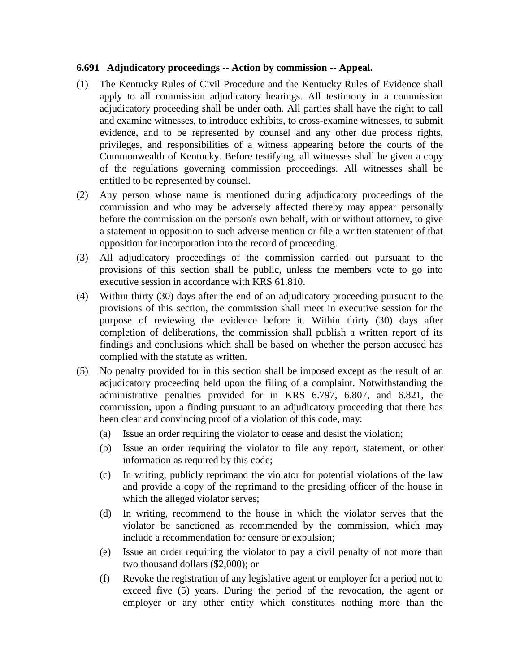## **6.691 Adjudicatory proceedings -- Action by commission -- Appeal.**

- (1) The Kentucky Rules of Civil Procedure and the Kentucky Rules of Evidence shall apply to all commission adjudicatory hearings. All testimony in a commission adjudicatory proceeding shall be under oath. All parties shall have the right to call and examine witnesses, to introduce exhibits, to cross-examine witnesses, to submit evidence, and to be represented by counsel and any other due process rights, privileges, and responsibilities of a witness appearing before the courts of the Commonwealth of Kentucky. Before testifying, all witnesses shall be given a copy of the regulations governing commission proceedings. All witnesses shall be entitled to be represented by counsel.
- (2) Any person whose name is mentioned during adjudicatory proceedings of the commission and who may be adversely affected thereby may appear personally before the commission on the person's own behalf, with or without attorney, to give a statement in opposition to such adverse mention or file a written statement of that opposition for incorporation into the record of proceeding.
- (3) All adjudicatory proceedings of the commission carried out pursuant to the provisions of this section shall be public, unless the members vote to go into executive session in accordance with KRS 61.810.
- (4) Within thirty (30) days after the end of an adjudicatory proceeding pursuant to the provisions of this section, the commission shall meet in executive session for the purpose of reviewing the evidence before it. Within thirty (30) days after completion of deliberations, the commission shall publish a written report of its findings and conclusions which shall be based on whether the person accused has complied with the statute as written.
- (5) No penalty provided for in this section shall be imposed except as the result of an adjudicatory proceeding held upon the filing of a complaint. Notwithstanding the administrative penalties provided for in KRS 6.797, 6.807, and 6.821, the commission, upon a finding pursuant to an adjudicatory proceeding that there has been clear and convincing proof of a violation of this code, may:
	- (a) Issue an order requiring the violator to cease and desist the violation;
	- (b) Issue an order requiring the violator to file any report, statement, or other information as required by this code;
	- (c) In writing, publicly reprimand the violator for potential violations of the law and provide a copy of the reprimand to the presiding officer of the house in which the alleged violator serves;
	- (d) In writing, recommend to the house in which the violator serves that the violator be sanctioned as recommended by the commission, which may include a recommendation for censure or expulsion;
	- (e) Issue an order requiring the violator to pay a civil penalty of not more than two thousand dollars (\$2,000); or
	- (f) Revoke the registration of any legislative agent or employer for a period not to exceed five (5) years. During the period of the revocation, the agent or employer or any other entity which constitutes nothing more than the